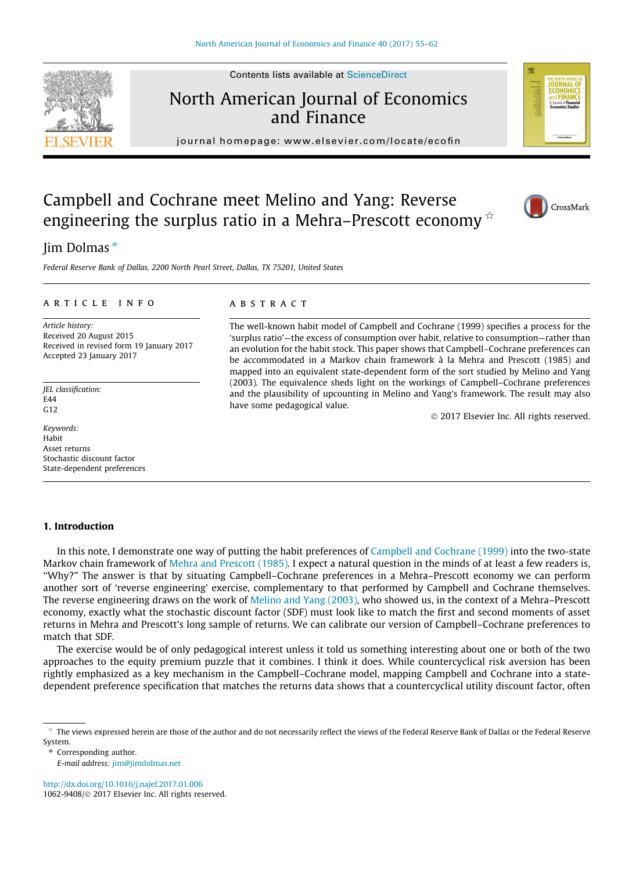# North American Journal of Economics and Finance

journal homepage: [www.elsevier.com/locate/ecofin](http://www.elsevier.com/locate/ecofin)

## Campbell and Cochrane meet Melino and Yang: Reverse engineering the surplus ratio in a Mehra–Prescott economy  $\dot{\alpha}$

### Jim Dolmas\*

Federal Reserve Bank of Dallas, 2200 North Pearl Street, Dallas, TX 75201, United States

#### article info

Article history: Received 20 August 2015 Received in revised form 19 January 2017 Accepted 23 January 2017

JEL classification: E44  $G12$ 

Keywords: Habit Asset returns Stochastic discount factor State-dependent preferences

#### **ABSTRACT**

The well-known habit model of Campbell and Cochrane (1999) specifies a process for the 'surplus ratio'—the excess of consumption over habit, relative to consumption—rather than an evolution for the habit stock. This paper shows that Campbell–Cochrane preferences can be accommodated in a Markov chain framework à la Mehra and Prescott (1985) and mapped into an equivalent state-dependent form of the sort studied by Melino and Yang (2003). The equivalence sheds light on the workings of Campbell–Cochrane preferences and the plausibility of upcounting in Melino and Yang's framework. The result may also have some pedagogical value.

2017 Elsevier Inc. All rights reserved.

#### 1. Introduction

In this note, I demonstrate one way of putting the habit preferences of [Campbell and Cochrane \(1999\)](#page-7-0) into the two-state Markov chain framework of [Mehra and Prescott \(1985\)](#page-7-0). I expect a natural question in the minds of at least a few readers is, ''Why?" The answer is that by situating Campbell–Cochrane preferences in a Mehra–Prescott economy we can perform another sort of 'reverse engineering' exercise, complementary to that performed by Campbell and Cochrane themselves. The reverse engineering draws on the work of [Melino and Yang \(2003\)](#page-7-0), who showed us, in the context of a Mehra–Prescott economy, exactly what the stochastic discount factor (SDF) must look like to match the first and second moments of asset returns in Mehra and Prescott's long sample of returns. We can calibrate our version of Campbell–Cochrane preferences to match that SDF.

The exercise would be of only pedagogical interest unless it told us something interesting about one or both of the two approaches to the equity premium puzzle that it combines. I think it does. While countercyclical risk aversion has been rightly emphasized as a key mechanism in the Campbell–Cochrane model, mapping Campbell and Cochrane into a statedependent preference specification that matches the returns data shows that a countercyclical utility discount factor, often

⇑ Corresponding author.

E-mail address: [jim@jimdolmas.net](mailto:jim@jimdolmas.net)

<http://dx.doi.org/10.1016/j.najef.2017.01.006> 1062-9408/ 2017 Elsevier Inc. All rights reserved.







 $*$  The views expressed herein are those of the author and do not necessarily reflect the views of the Federal Reserve Bank of Dallas or the Federal Reserve System.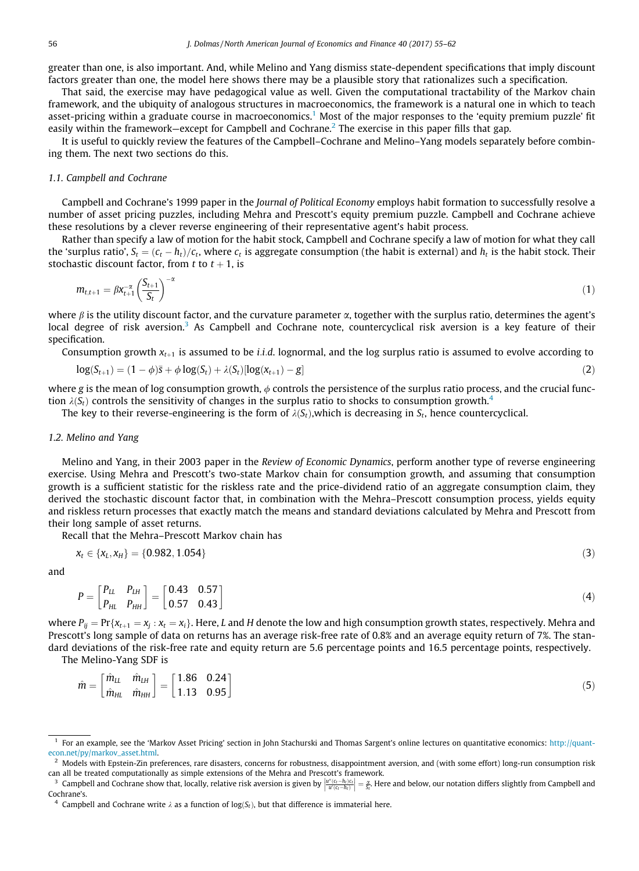<span id="page-1-0"></span>greater than one, is also important. And, while Melino and Yang dismiss state-dependent specifications that imply discount factors greater than one, the model here shows there may be a plausible story that rationalizes such a specification.

That said, the exercise may have pedagogical value as well. Given the computational tractability of the Markov chain framework, and the ubiquity of analogous structures in macroeconomics, the framework is a natural one in which to teach asset-pricing within a graduate course in macroeconomics.<sup>1</sup> Most of the major responses to the 'equity premium puzzle' fit easily within the framework—except for Campbell and Cochrane.<sup>2</sup> The exercise in this paper fills that gap.

It is useful to quickly review the features of the Campbell–Cochrane and Melino–Yang models separately before combining them. The next two sections do this.

#### 1.1. Campbell and Cochrane

Campbell and Cochrane's 1999 paper in the Journal of Political Economy employs habit formation to successfully resolve a number of asset pricing puzzles, including Mehra and Prescott's equity premium puzzle. Campbell and Cochrane achieve these resolutions by a clever reverse engineering of their representative agent's habit process.

Rather than specify a law of motion for the habit stock, Campbell and Cochrane specify a law of motion for what they call the 'surplus ratio',  $S_t = (c_t - h_t)/c_t$ , where  $c_t$  is aggregate consumption (the habit is external) and  $h_t$  is the habit stock. Their stock is the indicated in the  $t + 1$  is stochastic discount factor, from t to  $t + 1$ , is

$$
m_{t,t+1} = \beta x_{t+1}^{-\alpha} \left(\frac{S_{t+1}}{S_t}\right)^{-\alpha} \tag{1}
$$

where  $\beta$  is the utility discount factor, and the curvature parameter  $\alpha$ , together with the surplus ratio, determines the agent's local degree of risk aversion.<sup>3</sup> As Campbell and Cochrane note, countercyclical risk aversion is a key feature of their specification.

Consumption growth  $x_{t+1}$  is assumed to be *i.i.d.* lognormal, and the log surplus ratio is assumed to evolve according to

$$
\log(S_{t+1}) = (1 - \phi)\bar{s} + \phi \log(S_t) + \lambda(S_t)[\log(x_{t+1}) - g]
$$
\n(2)

where g is the mean of log consumption growth,  $\phi$  controls the persistence of the surplus ratio process, and the crucial function  $\lambda(S_t)$  controls the sensitivity of changes in the surplus ratio to shocks to consumption growth.<sup>4</sup>

The key to their reverse-engineering is the form of  $\lambda(S_t)$ , which is decreasing in  $S_t$ , hence countercyclical.

#### 1.2. Melino and Yang

Melino and Yang, in their 2003 paper in the Review of Economic Dynamics, perform another type of reverse engineering exercise. Using Mehra and Prescott's two-state Markov chain for consumption growth, and assuming that consumption growth is a sufficient statistic for the riskless rate and the price-dividend ratio of an aggregate consumption claim, they derived the stochastic discount factor that, in combination with the Mehra–Prescott consumption process, yields equity and riskless return processes that exactly match the means and standard deviations calculated by Mehra and Prescott from their long sample of asset returns.

Recall that the Mehra–Prescott Markov chain has

$$
x_t \in \{x_L, x_H\} = \{0.982, 1.054\} \tag{3}
$$

and

$$
P = \begin{bmatrix} P_{LL} & P_{LH} \\ P_{HL} & P_{HH} \end{bmatrix} = \begin{bmatrix} 0.43 & 0.57 \\ 0.57 & 0.43 \end{bmatrix} \tag{4}
$$

where  $P_{ij} = \Pr\{x_{t+1} = x_i : x_t = x_i\}$ . Here, L and H denote the low and high consumption growth states, respectively. Mehra and Prescott's long sample of data on returns has an average risk-free rate of 0.8% and an average equity return of 7%. The standard deviations of the risk-free rate and equity return are 5.6 percentage points and 16.5 percentage points, respectively.

The Melino-Yang SDF is

$$
\hat{m} = \begin{bmatrix} \hat{m}_{LL} & \hat{m}_{LH} \\ \hat{m}_{HL} & \hat{m}_{HH} \end{bmatrix} = \begin{bmatrix} 1.86 & 0.24 \\ 1.13 & 0.95 \end{bmatrix}
$$
\n(5)

<sup>1</sup> For an example, see the 'Markov Asset Pricing' section in John Stachurski and Thomas Sargent's online lectures on quantitative economics: [http://quant](http://quant-econ.net/py/markov_asset.html)[econ.net/py/markov\\_asset.html.](http://quant-econ.net/py/markov_asset.html)

<sup>2</sup> Models with Epstein-Zin preferences, rare disasters, concerns for robustness, disappointment aversion, and (with some effort) long-run consumption risk can all be treated computationally as simple extensions of the Mehra and Prescott's framework.

<sup>&</sup>lt;sup>3</sup> Campbell and Cochrane show that, locally, relative risk aversion is given by  $\left|\frac{u''(\zeta-h_i)\zeta_l}{u'(\zeta_t-h_i)}\right|=\frac{\alpha}{S_t}.$  Here and below, our notation differs slightly from Campbell and polyton is given by  $\left|\frac{u''(\zeta_t-h_i)\z$ Cochrane's.

<sup>&</sup>lt;sup>4</sup> Campbell and Cochrane write  $\lambda$  as a function of log(S<sub>t</sub>), but that difference is immaterial here.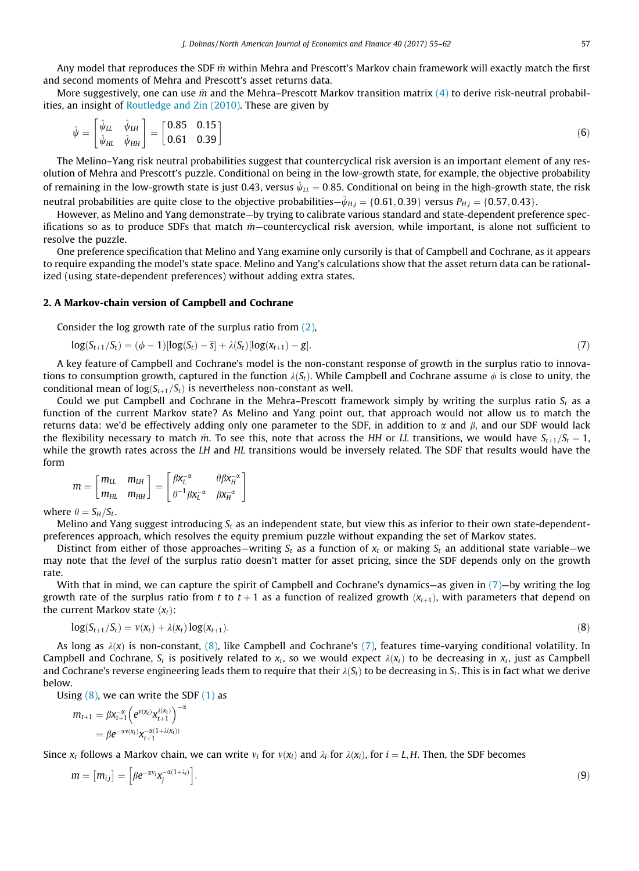<span id="page-2-0"></span>Any model that reproduces the SDF  $\hat{m}$  within Mehra and Prescott's Markov chain framework will exactly match the first and second moments of Mehra and Prescott's asset returns data.

More suggestively, one can use  $\hat{m}$  and the Mehra–Prescott Markov transition matrix [\(4\)](#page-1-0) to derive risk-neutral probabilities, an insight of [Routledge and Zin \(2010\)](#page-7-0). These are given by

$$
\hat{\psi} = \begin{bmatrix} \hat{\psi}_{LL} & \hat{\psi}_{LH} \\ \hat{\psi}_{HL} & \hat{\psi}_{HH} \end{bmatrix} = \begin{bmatrix} 0.85 & 0.15 \\ 0.61 & 0.39 \end{bmatrix}
$$
\n(6)

The Melino–Yang risk neutral probabilities suggest that countercyclical risk aversion is an important element of any resolution of Mehra and Prescott's puzzle. Conditional on being in the low-growth state, for example, the objective probability of remaining in the low-growth state is just 0.43, versus  $\hat{\psi}_{LL} = 0.85$ . Conditional on being in the high-growth state, the risk neutral probabilities are quite close to the objective probabilities— $\hat{\psi}_{H,j} = \{0.61, 0.39\}$  versus  $P_{H,j} = \{0.57, 0.43\}.$ 

However, as Melino and Yang demonstrate—by trying to calibrate various standard and state-dependent preference specifications so as to produce SDFs that match  $\hat{m}$  –countercyclical risk aversion, while important, is alone not sufficient to resolve the puzzle.

One preference specification that Melino and Yang examine only cursorily is that of Campbell and Cochrane, as it appears to require expanding the model's state space. Melino and Yang's calculations show that the asset return data can be rationalized (using state-dependent preferences) without adding extra states.

#### 2. A Markov-chain version of Campbell and Cochrane

Consider the log growth rate of the surplus ratio from [\(2\)](#page-1-0),

$$
\log(S_{t+1}/S_t) = (\phi - 1)[\log(S_t) - \bar{s}] + \lambda(S_t)[\log(\mathsf{x}_{t+1}) - g].
$$
\n(7)

A key feature of Campbell and Cochrane's model is the non-constant response of growth in the surplus ratio to innovations to consumption growth, captured in the function  $\lambda(S_t)$ . While Campbell and Cochrane assume  $\phi$  is close to unity, the conditional mean of  $log(S_{t+1}/S_t)$  is nevertheless non-constant as well.

Could we put Campbell and Cochrane in the Mehra–Prescott framework simply by writing the surplus ratio  $S_t$  as a function of the current Markov state? As Melino and Yang point out, that approach would not allow us to match the returns data: we'd be effectively adding only one parameter to the SDF, in addition to  $\alpha$  and  $\beta$ , and our SDF would lack the flexibility necessary to match  $\hat{m}$ . To see this, note that across the HH or LL transitions, we would have  $S_{t+1}/S_t = 1$ , while the growth rates across the LH and HL transitions would be inversely related. The SDF that results would have the form

$$
m = \begin{bmatrix} m_{LL} & m_{LH} \\ m_{HL} & m_{HH} \end{bmatrix} = \begin{bmatrix} \beta x_L^{-\alpha} & \theta \beta x_H^{-\alpha} \\ \theta^{-1} \beta x_L^{-\alpha} & \beta x_H^{-\alpha} \end{bmatrix}
$$

where  $\theta = S_H/S_L$ .

Melino and Yang suggest introducing  $S_t$  as an independent state, but view this as inferior to their own state-dependentpreferences approach, which resolves the equity premium puzzle without expanding the set of Markov states.

Distinct from either of those approaches—writing  $S_t$  as a function of  $x_t$  or making  $S_t$  an additional state variable—we may note that the level of the surplus ratio doesn't matter for asset pricing, since the SDF depends only on the growth rate.

With that in mind, we can capture the spirit of Campbell and Cochrane's dynamics—as given in  $(7)$ —by writing the log growth rate of the surplus ratio from t to  $t + 1$  as a function of realized growth  $(x_{t+1})$ , with parameters that depend on the current Markov state  $(x_t)$ :

$$
\log(S_{t+1}/S_t) = \nu(x_t) + \lambda(x_t) \log(x_{t+1}).
$$
\n(8)

As long as  $\lambda(x)$  is non-constant, (8), like Campbell and Cochrane's (7), features time-varying conditional volatility. In Campbell and Cochrane,  $S_t$  is positively related to x<sub>t</sub>, so we would expect  $\lambda(x_t)$  to be decreasing in x<sub>t</sub>, just as Campbell and Cochrane's reverse engineering leads them to require that their  $\lambda(S_t)$  to be decreasing in S<sub>t</sub>. This is in fact what we derive below.

Using  $(8)$ , we can write the SDF  $(1)$  as

$$
m_{t+1} = \beta x_{t+1}^{-\alpha} \left( e^{v(x_t)} x_{t+1}^{\lambda(x_t)} \right)^{-\alpha}
$$
  
=  $\beta e^{-\alpha v(x_t)} x_{t+1}^{-\alpha(1+\lambda(x_t))}$ 

Since  $x_t$  follows a Markov chain, we can write  $v_i$  for  $v(x_i)$  and  $\lambda_i$  for  $\lambda(x_i)$ , for  $i = L, H$ . Then, the SDF becomes

$$
m = [m_{ij}] = [\beta e^{-\alpha v_i} \mathbf{x}_j^{-\alpha(1+\lambda_i)}].
$$
\n(9)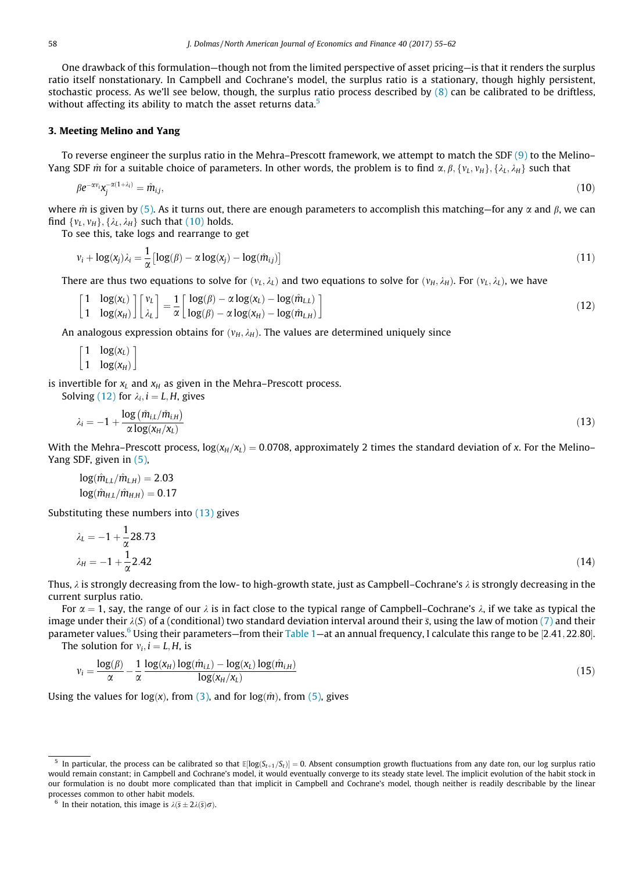<span id="page-3-0"></span>One drawback of this formulation—though not from the limited perspective of asset pricing—is that it renders the surplus ratio itself nonstationary. In Campbell and Cochrane's model, the surplus ratio is a stationary, though highly persistent, stochastic process. As we'll see below, though, the surplus ratio process described by  $(8)$  can be calibrated to be driftless, without affecting its ability to match the asset returns data.<sup>5</sup>

#### 3. Meeting Melino and Yang

To reverse engineer the surplus ratio in the Mehra–Prescott framework, we attempt to match the SDF [\(9\)](#page-2-0) to the Melino– Yang SDF  $\hat{m}$  for a suitable choice of parameters. In other words, the problem is to find  $\alpha$ ,  $\beta$ ,  $\{v_L, v_H\}$ ,  $\{\lambda_L, \lambda_H\}$  such that

$$
\beta e^{-\alpha v_i} x_j^{-\alpha(1+\lambda_i)} = \hat{m}_{i,j},\tag{10}
$$

where  $\hat{m}$  is given by [\(5\).](#page-1-0) As it turns out, there are enough parameters to accomplish this matching—for any  $\alpha$  and  $\beta$ , we can find  $\{v_L, v_H\}$ ,  $\{\lambda_L, \lambda_H\}$  such that (10) holds.

To see this, take logs and rearrange to get

$$
v_i + \log(x_j)\lambda_i = \frac{1}{\alpha} \left[ \log(\beta) - \alpha \log(x_j) - \log(\hat{m}_{ij}) \right]
$$
\n(11)

There are thus two equations to solve for  $(v_L, \lambda_L)$  and two equations to solve for  $(v_H, \lambda_H)$ . For  $(v_L, \lambda_L)$ , we have

$$
\begin{bmatrix} 1 & \log(x_L) \\ 1 & \log(x_H) \end{bmatrix} \begin{bmatrix} v_L \\ \lambda_L \end{bmatrix} = \frac{1}{\alpha} \begin{bmatrix} \log(\beta) - \alpha \log(x_L) - \log(\hat{m}_{L,L}) \\ \log(\beta) - \alpha \log(x_H) - \log(\hat{m}_{L,H}) \end{bmatrix}
$$
(12)

An analogous expression obtains for  $(\nu_H, \lambda_H)$ . The values are determined uniquely since

$$
\begin{bmatrix} 1 & \log(x_L) \\ 1 & \log(x_H) \end{bmatrix}
$$

is invertible for  $x_L$  and  $x_H$  as given in the Mehra–Prescott process.

$$
\lambda_i = -1 + \frac{\log\left(\hat{m}_{i,L}/\hat{m}_{i,H}\right)}{\alpha \log(x_H/x_L)}
$$
(13)

With the Mehra–Prescott process,  $log(x_H/x_L) = 0.0708$ , approximately 2 times the standard deviation of x. For the Melino– Yang SDF, given in [\(5\)](#page-1-0),

$$
log(\hat{m}_{L,L}/\hat{m}_{L,H}) = 2.03
$$
  

$$
log(\hat{m}_{H,L}/\hat{m}_{H,H}) = 0.17
$$

Solving (12) for  $\lambda_i$ ,  $i = L, H$ , gives

Substituting these numbers into (13) gives

$$
\lambda_L = -1 + \frac{1}{\alpha} 28.73
$$
  

$$
\lambda_H = -1 + \frac{1}{\alpha} 2.42
$$
 (14)

Thus,  $\lambda$  is strongly decreasing from the low- to high-growth state, just as Campbell–Cochrane's  $\lambda$  is strongly decreasing in the current surplus ratio.

For  $\alpha = 1$ , say, the range of our  $\lambda$  is in fact close to the typical range of Campbell–Cochrane's  $\lambda$ , if we take as typical the image under their  $\lambda(S)$  of a (conditional) two standard deviation interval around their  $\bar{s}$ , using the law of motion [\(7\)](#page-2-0) and their parameter values.<sup>6</sup> Using their parameters—from their [Table 1—](#page-4-0)at an annual frequency, I calculate this range to be [2.41, 22.80].

The solution for  $v_i$ ,  $i = L, H$ , is

$$
v_i = \frac{\log(\beta)}{\alpha} - \frac{1}{\alpha} \frac{\log(x_H) \log(\hat{m}_{i,L}) - \log(x_L) \log(\hat{m}_{i,H})}{\log(x_H/x_L)}
$$
(15)

Using the values for log(x), from [\(3\)](#page-1-0), and for log( $\hat{m}$ ), from [\(5\),](#page-1-0) gives

In particular, the process can be calibrated so that  $E[log(S_{t+1}/S_t)] = 0$ . Absent consumption growth fluctuations from any date ton, our log surplus ratio would remain constant; in Campbell and Cochrane's model, it would eventually converge to its steady state level. The implicit evolution of the habit stock in our formulation is no doubt more complicated than that implicit in Campbell and Cochrane's model, though neither is readily describable by the linear processes common to other habit models.

<sup>&</sup>lt;sup>6</sup> In their notation, this image is  $\lambda(\bar{s} \pm 2\lambda(\bar{s})\sigma)$ .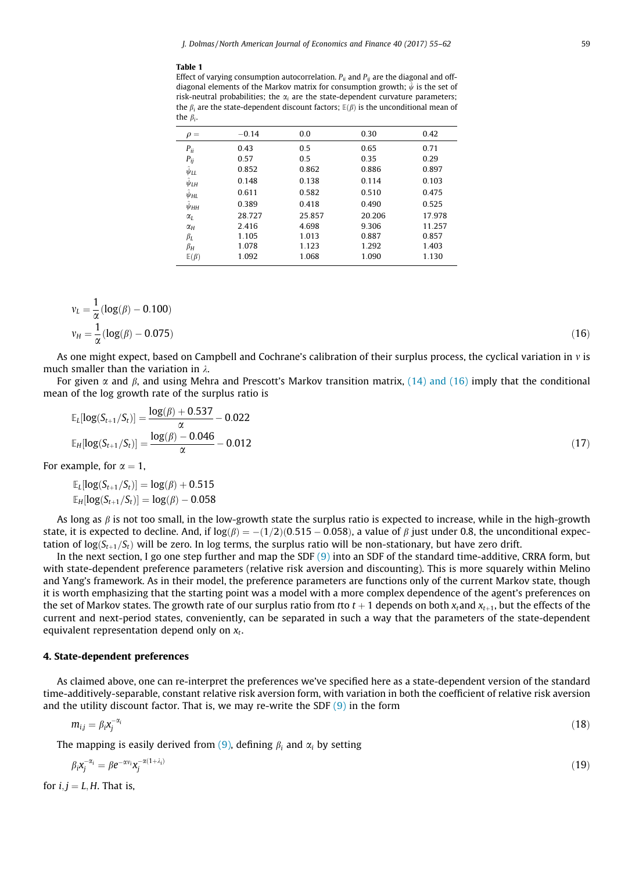#### <span id="page-4-0"></span>Table 1

Effect of varying consumption autocorrelation.  $P_{ii}$  and  $P_{ij}$  are the diagonal and offdiagonal elements of the Markov matrix for consumption growth;  $\hat{\psi}$  is the set of risk-neutral probabilities; the  $\alpha_i$  are the state-dependent curvature parameters; the  $\beta_i$  are the state-dependent discount factors;  $E(\beta)$  is the unconditional mean of the  $\beta$ .

| $\rho =$              | $-0.14$ | 0.0    | 0.30   | 0.42   |
|-----------------------|---------|--------|--------|--------|
| $P_{ii}$              | 0.43    | 0.5    | 0.65   | 0.71   |
| $P_{ij}$              | 0.57    | 0.5    | 0.35   | 0.29   |
| $\hat{\psi}_{LL}$     | 0.852   | 0.862  | 0.886  | 0.897  |
| $\hat{\psi}_{LH}$     | 0.148   | 0.138  | 0.114  | 0.103  |
| $\hat{\psi}_{HL}$     | 0.611   | 0.582  | 0.510  | 0.475  |
| $\ddot{\psi}_{HH}$    | 0.389   | 0.418  | 0.490  | 0.525  |
| $\alpha$ <sub>L</sub> | 28.727  | 25.857 | 20.206 | 17.978 |
| $\alpha$ <sub>H</sub> | 2.416   | 4.698  | 9.306  | 11.257 |
| $\beta_L$             | 1.105   | 1.013  | 0.887  | 0.857  |
| $\beta_H$             | 1.078   | 1.123  | 1.292  | 1.403  |
| $E(\beta)$            | 1.092   | 1.068  | 1.090  | 1.130  |

$$
v_L = \frac{1}{\alpha} (\log(\beta) - 0.100)
$$
  

$$
v_H = \frac{1}{\alpha} (\log(\beta) - 0.075)
$$
 (16)

As one might expect, based on Campbell and Cochrane's calibration of their surplus process, the cyclical variation in  $v$  is much smaller than the variation in  $\lambda$ .

For given  $\alpha$  and  $\beta$ , and using Mehra and Prescott's Markov transition matrix, [\(14\) and \(16\)](#page-3-0) imply that the conditional mean of the log growth rate of the surplus ratio is

$$
\mathbb{E}_{L}[\log(S_{t+1}/S_{t})] = \frac{\log(\beta) + 0.537}{\alpha} - 0.022
$$
  

$$
\mathbb{E}_{H}[\log(S_{t+1}/S_{t})] = \frac{\log(\beta) - 0.046}{\alpha} - 0.012
$$
 (17)

For example, for  $\alpha = 1$ ,<br>E,  $\log(S_{n-1}/S_n)$ 

$$
\mathbb{E}_{L}[\log(S_{t+1}/S_{t})] = \log(\beta) + 0.515
$$

$$
\mathbb{E}_{H}[\log(S_{t+1}/S_{t})] = \log(\beta) - 0.058
$$

As long as  $\beta$  is not too small, in the low-growth state the surplus ratio is expected to increase, while in the high-growth state, it is expected to decline. And, if  $\log(\beta) = -(1/2)(0.515 - 0.058)$ , a value of  $\beta$  just under 0.8, the unconditional expec-<br>tation of log(S<sub>ac</sub> /Sac) will be zero. In log terms, the surplus ratio will be non-stationary tation of  $log(S_{t+1}/S_t)$  will be zero. In log terms, the surplus ratio will be non-stationary, but have zero drift.

In the next section, I go one step further and map the SDF  $(9)$  into an SDF of the standard time-additive, CRRA form, but with state-dependent preference parameters (relative risk aversion and discounting). This is more squarely within Melino and Yang's framework. As in their model, the preference parameters are functions only of the current Markov state, though it is worth emphasizing that the starting point was a model with a more complex dependence of the agent's preferences on the set of Markov states. The growth rate of our surplus ratio from tto  $t + 1$  depends on both  $x_t$  and  $x_{t+1}$ , but the effects of the current and next-period states, conveniently, can be separated in such a way that the parameters of the state-dependent equivalent representation depend only on  $x_t$ .

#### 4. State-dependent preferences

As claimed above, one can re-interpret the preferences we've specified here as a state-dependent version of the standard time-additively-separable, constant relative risk aversion form, with variation in both the coefficient of relative risk aversion and the utility discount factor. That is, we may re-write the SDF  $(9)$  in the form

$$
m_{ij} = \beta_i x_j^{-\alpha_i} \tag{18}
$$

The mapping is easily derived from [\(9\),](#page-2-0) defining  $\beta_i$  and  $\alpha_i$  by setting

$$
\beta_i \mathbf{x}_j^{-\alpha_i} = \beta e^{-\alpha v_i} \mathbf{x}_j^{-\alpha(1 + \lambda_i)}
$$
\n<sup>(19)</sup>

for  $i, j = L, H$ . That is,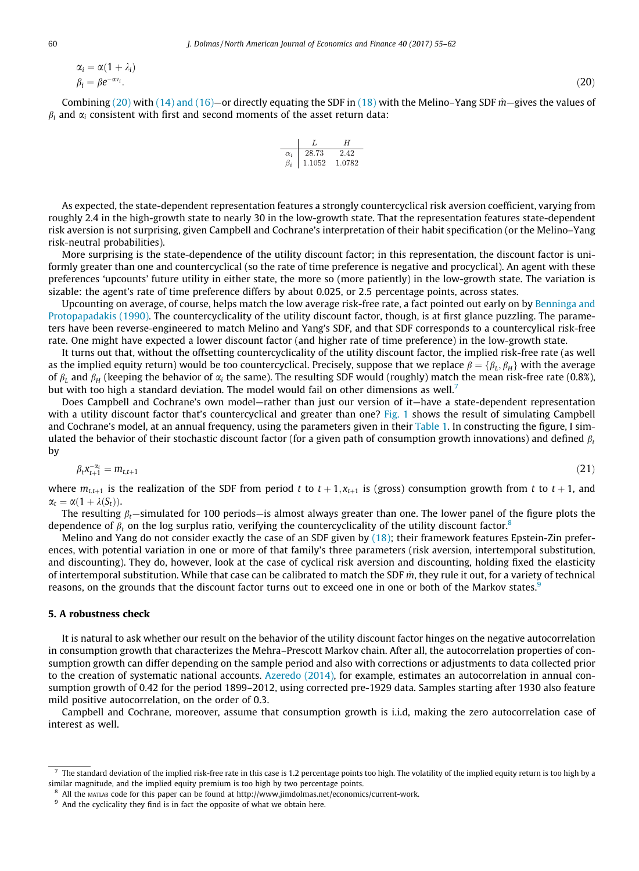<span id="page-5-0"></span>
$$
\alpha_i = \alpha (1 + \lambda_i) \n\beta_i = \beta e^{-\alpha v_i}.
$$
\n(20)

Combining [\(20\)](#page-4-0) with [\(14\) and \(16\)](#page-3-0)—or directly equating the SDF in [\(18\)](#page-4-0) with the Melino–Yang SDF  $\hat{m}$ —gives the values of  $\beta_i$  and  $\alpha_i$  consistent with first and second moments of the asset return data:

| $\alpha$ | 28.73  | 2.42   |
|----------|--------|--------|
|          | 1.1052 | 1.0782 |

As expected, the state-dependent representation features a strongly countercyclical risk aversion coefficient, varying from roughly 2.4 in the high-growth state to nearly 30 in the low-growth state. That the representation features state-dependent risk aversion is not surprising, given Campbell and Cochrane's interpretation of their habit specification (or the Melino–Yang risk-neutral probabilities).

More surprising is the state-dependence of the utility discount factor; in this representation, the discount factor is uniformly greater than one and countercyclical (so the rate of time preference is negative and procyclical). An agent with these preferences 'upcounts' future utility in either state, the more so (more patiently) in the low-growth state. The variation is sizable: the agent's rate of time preference differs by about 0.025, or 2.5 percentage points, across states.

Upcounting on average, of course, helps match the low average risk-free rate, a fact pointed out early on by [Benninga and](#page-7-0) [Protopapadakis \(1990\).](#page-7-0) The countercyclicality of the utility discount factor, though, is at first glance puzzling. The parameters have been reverse-engineered to match Melino and Yang's SDF, and that SDF corresponds to a countercylical risk-free rate. One might have expected a lower discount factor (and higher rate of time preference) in the low-growth state.

It turns out that, without the offsetting countercyclicality of the utility discount factor, the implied risk-free rate (as well as the implied equity return) would be too countercyclical. Precisely, suppose that we replace  $\beta = {\beta_L, \beta_H}$  with the average of  $\beta_L$  and  $\beta_H$  (keeping the behavior of  $\alpha_i$  the same). The resulting SDF would (roughly) match the mean risk-free rate (0.8%), but with too high a standard deviation. The model would fail on other dimensions as well.<sup>7</sup>

Does Campbell and Cochrane's own model—rather than just our version of it—have a state-dependent representation with a utility discount factor that's countercyclical and greater than one? [Fig. 1](#page-6-0) shows the result of simulating Campbell and Cochrane's model, at an annual frequency, using the parameters given in their [Table 1](#page-4-0). In constructing the figure, I simulated the behavior of their stochastic discount factor (for a given path of consumption growth innovations) and defined  $\beta$ . by

$$
\beta_t \mathbf{x}_{t+1}^{-\alpha_t} = m_{t,t+1} \tag{21}
$$

where  $m_{t,t+1}$  is the realization of the SDF from period t to  $t + 1, x_{t+1}$  is (gross) consumption growth from t to  $t + 1$ , and  $\alpha_t = \alpha(1 + \lambda(S_t)).$ 

The resulting  $\beta_t$ —simulated for 100 periods—is almost always greater than one. The lower panel of the figure plots the dependence of  $\beta_t$  on the log surplus ratio, verifying the countercyclicality of the utility discount factor.<sup>8</sup>

Melino and Yang do not consider exactly the case of an SDF given by [\(18\);](#page-4-0) their framework features Epstein-Zin preferences, with potential variation in one or more of that family's three parameters (risk aversion, intertemporal substitution, and discounting). They do, however, look at the case of cyclical risk aversion and discounting, holding fixed the elasticity of intertemporal substitution. While that case can be calibrated to match the SDF  $\hat{m}$ , they rule it out, for a variety of technical reasons, on the grounds that the discount factor turns out to exceed one in one or both of the Markov states.<sup>9</sup>

#### 5. A robustness check

It is natural to ask whether our result on the behavior of the utility discount factor hinges on the negative autocorrelation in consumption growth that characterizes the Mehra–Prescott Markov chain. After all, the autocorrelation properties of consumption growth can differ depending on the sample period and also with corrections or adjustments to data collected prior to the creation of systematic national accounts. [Azeredo \(2014\)](#page-7-0), for example, estimates an autocorrelation in annual consumption growth of 0.42 for the period 1899–2012, using corrected pre-1929 data. Samples starting after 1930 also feature mild positive autocorrelation, on the order of 0.3.

Campbell and Cochrane, moreover, assume that consumption growth is i.i.d, making the zero autocorrelation case of interest as well.

The standard deviation of the implied risk-free rate in this case is 1.2 percentage points too high. The volatility of the implied equity return is too high by a similar magnitude, and the implied equity premium is too high by two percentage points.

<sup>8</sup> All the MATLAB code for this paper can be found at http://www.jimdolmas.net/economics/current-work.

<sup>&</sup>lt;sup>9</sup> And the cyclicality they find is in fact the opposite of what we obtain here.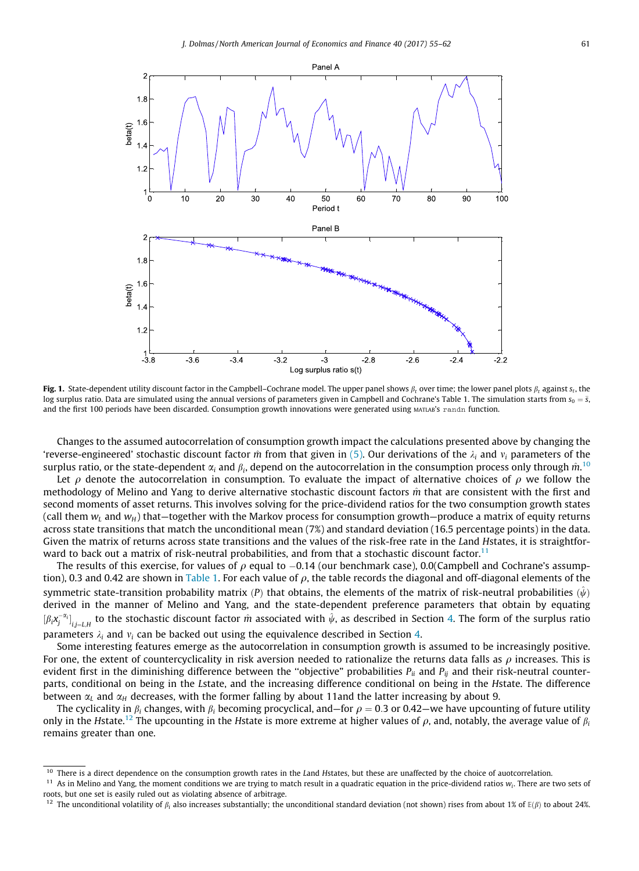<span id="page-6-0"></span>

Fig. 1. State-dependent utility discount factor in the Campbell–Cochrane model. The upper panel shows  $\beta_t$  over time; the lower panel plots  $\beta_t$  against s<sub>t</sub>, the log surplus ratio. Data are simulated using the annual versions of parameters given in Campbell and Cochrane's Table 1. The simulation starts from  $s_0 = \bar{s}$ , and the first 100 periods have been discarded. Consumption growth innovations were generated using MATLAB's randn function.

Changes to the assumed autocorrelation of consumption growth impact the calculations presented above by changing the 'reverse-engineered' stochastic discount factor  $\hat{m}$  from that given in [\(5\)](#page-1-0). Our derivations of the  $\lambda_i$  and  $\nu_i$  parameters of the surplus ratio, or the state-dependent  $\alpha_i$  and  $\beta_i$ , depend on the autocorrelation in the consumption process only through  $\hat{m}^{10}$ 

Let  $\rho$  denote the autocorrelation in consumption. To evaluate the impact of alternative choices of  $\rho$  we follow the methodology of Melino and Yang to derive alternative stochastic discount factors  $\hat{m}$  that are consistent with the first and second moments of asset returns. This involves solving for the price-dividend ratios for the two consumption growth states (call them  $w_L$  and  $w_H$ ) that—together with the Markov process for consumption growth—produce a matrix of equity returns across state transitions that match the unconditional mean (7%) and standard deviation (16.5 percentage points) in the data. Given the matrix of returns across state transitions and the values of the risk-free rate in the Land Hstates, it is straightforward to back out a matrix of risk-neutral probabilities, and from that a stochastic discount factor.<sup>11</sup>

The results of this exercise, for values of  $\rho$  equal to  $-0.14$  (our benchmark case), 0.0(Campbell and Cochrane's assump-<br>a) 0.3 and 0.42 are shown in Table 1. For each value of a the table records the diagonal and off-tion), 0.3 and 0.42 are shown in [Table 1.](#page-4-0) For each value of  $\rho$ , the table records the diagonal and off-diagonal elements of the symmetric state-transition probability matrix (P) that obtains, the elements of the matrix of risk-neutral probabilities  $(\hat{\psi})$ derived in the manner of Melino and Yang, and the state-dependent preference parameters that obtain by equating  $[\beta_i x_j^{-\alpha_i}]_{i,j=L,H}$  to the stochastic discount factor  $\hat{m}$  associated with  $\hat{\psi}$ , as described in Section [4](#page-4-0). The form of the surplus ratio parameters  $\lambda_i$  and  $v_i$  can be backed out using the equivalence described in Section [4](#page-4-0).

Some interesting features emerge as the autocorrelation in consumption growth is assumed to be increasingly positive. For one, the extent of countercyclicality in risk aversion needed to rationalize the returns data falls as  $\rho$  increases. This is evident first in the diminishing difference between the "objective" probabilities  $P_{ii}$  and  $P_{ij}$  and their risk-neutral counterparts, conditional on being in the Lstate, and the increasing difference conditional on being in the Hstate. The difference between  $\alpha_l$  and  $\alpha_H$  decreases, with the former falling by about 11and the latter increasing by about 9.

The cyclicality in  $\beta_i$  changes, with  $\beta_i$  becoming procyclical, and—for  $\rho = 0.3$  or 0.42—we have upcounting of future utility only in the Hstate.<sup>12</sup> The upcounting in the Hstate is more extreme at higher values of  $\rho$ , and, notably, the average value of  $\beta_i$ remains greater than one.

<sup>&</sup>lt;sup>10</sup> There is a direct dependence on the consumption growth rates in the Land Hstates, but these are unaffected by the choice of auotcorrelation.

<sup>&</sup>lt;sup>11</sup> As in Melino and Yang, the moment conditions we are trying to match result in a quadratic equation in the price-dividend ratios  $w_i$ . There are two sets of roots, but one set is easily ruled out as violating absence of arbitrage.

<sup>&</sup>lt;sup>12</sup> The unconditional volatility of  $\beta_i$  also increases substantially; the unconditional standard deviation (not shown) rises from about 1% of  $E(\beta)$  to about 24%.